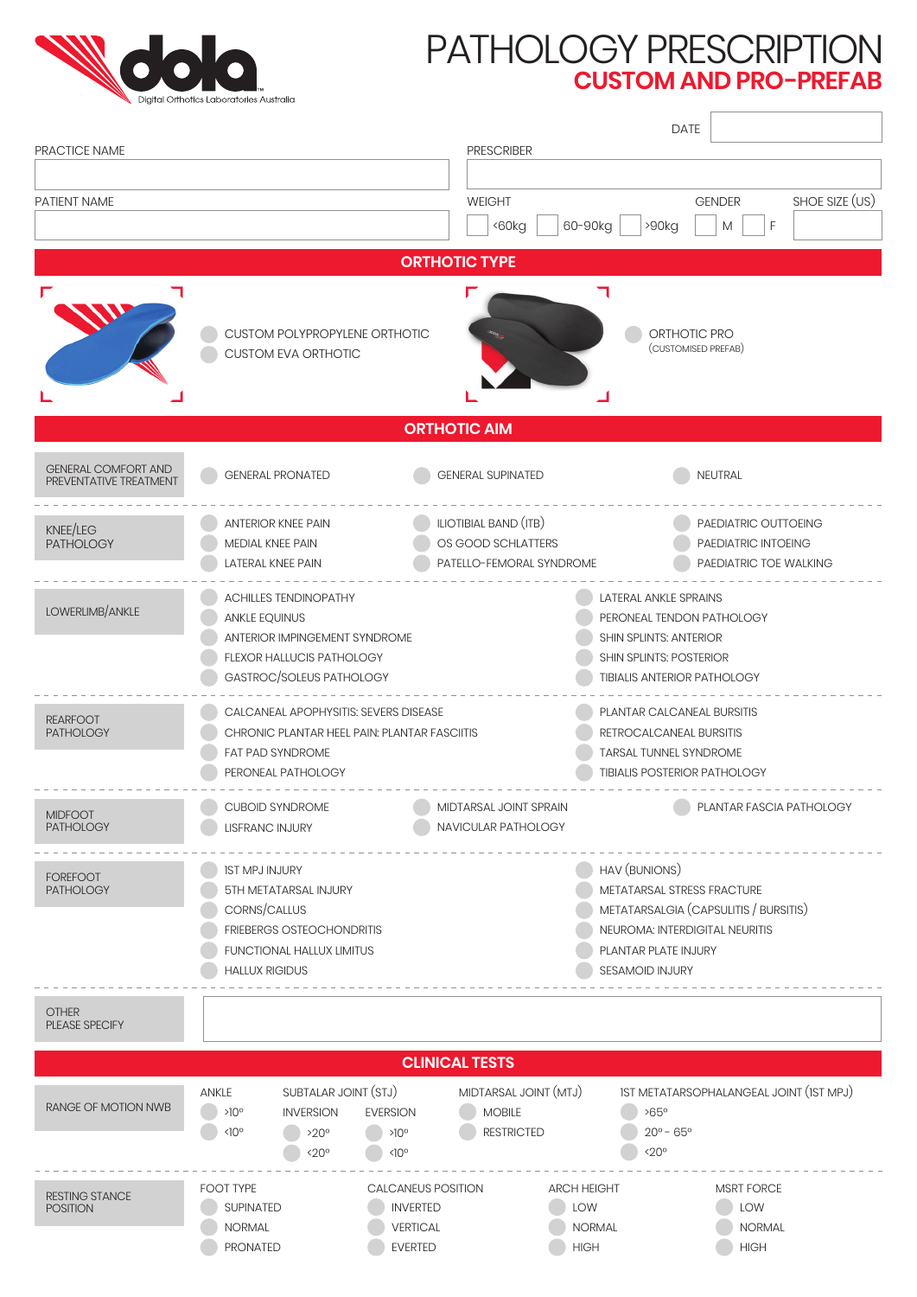

## PATHOLOGY PRESCRIPTION **CUSTOM AND PRO-PREFAB**

|                                                      |                                                                                                                                                                                               | <b>DATE</b>                                                             |                                                                                                                                                                   |  |  |  |  |  |  |
|------------------------------------------------------|-----------------------------------------------------------------------------------------------------------------------------------------------------------------------------------------------|-------------------------------------------------------------------------|-------------------------------------------------------------------------------------------------------------------------------------------------------------------|--|--|--|--|--|--|
| PRACTICE NAME                                        |                                                                                                                                                                                               | <b>PRESCRIBER</b>                                                       |                                                                                                                                                                   |  |  |  |  |  |  |
| PATIENT NAME                                         |                                                                                                                                                                                               | <b>WEIGHT</b>                                                           | SHOE SIZE (US)<br><b>GENDER</b>                                                                                                                                   |  |  |  |  |  |  |
|                                                      |                                                                                                                                                                                               | 60kg<br>60-90kg                                                         | >90kg<br>F<br>М                                                                                                                                                   |  |  |  |  |  |  |
| <b>ORTHOTIC TYPE</b>                                 |                                                                                                                                                                                               |                                                                         |                                                                                                                                                                   |  |  |  |  |  |  |
|                                                      | CUSTOM POLYPROPYLENE ORTHOTIC<br><b>CUSTOM EVA ORTHOTIC</b>                                                                                                                                   |                                                                         | ORTHOTIC PRO<br>(CUSTOMISED PREFAB)                                                                                                                               |  |  |  |  |  |  |
| <b>ORTHOTIC AIM</b>                                  |                                                                                                                                                                                               |                                                                         |                                                                                                                                                                   |  |  |  |  |  |  |
| <b>GENERAL COMFORT AND</b><br>PREVENTATIVE TREATMENT | <b>GENERAL PRONATED</b>                                                                                                                                                                       | <b>GENERAL SUPINATED</b>                                                | NEUTRAL                                                                                                                                                           |  |  |  |  |  |  |
| KNEE/LEG<br><b>PATHOLOGY</b>                         | <b>ANTERIOR KNEE PAIN</b><br>MEDIAL KNEE PAIN<br>LATERAL KNEE PAIN                                                                                                                            | ILIOTIBIAL BAND (ITB)<br>OS GOOD SCHLATTERS<br>PATELLO-FEMORAL SYNDROME | PAEDIATRIC OUTTOEING<br>PAEDIATRIC INTOEING<br>PAEDIATRIC TOE WALKING                                                                                             |  |  |  |  |  |  |
| LOWERLIMB/ANKLE                                      | <b>ACHILLES TENDINOPATHY</b><br><b>ANKLE EQUINUS</b><br>ANTERIOR IMPINGEMENT SYNDROME<br>FLEXOR HALLUCIS PATHOLOGY<br>GASTROC/SOLEUS PATHOLOGY                                                |                                                                         | LATERAL ANKLE SPRAINS<br>PERONEAL TENDON PATHOLOGY<br>SHIN SPLINTS: ANTERIOR<br>SHIN SPLINTS: POSTERIOR<br>TIBIALIS ANTERIOR PATHOLOGY                            |  |  |  |  |  |  |
| <b>REARFOOT</b><br><b>PATHOLOGY</b>                  | CALCANEAL APOPHYSITIS: SEVERS DISEASE<br>CHRONIC PLANTAR HEEL PAIN: PLANTAR FASCIITIS<br>FAT PAD SYNDROME<br>PERONEAL PATHOLOGY                                                               |                                                                         | PLANTAR CALCANEAL BURSITIS<br>RETROCALCANEAL BURSITIS<br>TARSAL TUNNEL SYNDROME<br><b>TIBIALIS POSTERIOR PATHOLOGY</b>                                            |  |  |  |  |  |  |
| <b>MIDFOOT</b><br><b>PATHOLOGY</b>                   | <b>CUBOID SYNDROME</b><br><b>LISFRANC INJURY</b>                                                                                                                                              | MIDTARSAL JOINT SPRAIN<br>NAVICULAR PATHOLOGY                           | PLANTAR FASCIA PATHOLOGY                                                                                                                                          |  |  |  |  |  |  |
| <b>FOREFOOT</b><br><b>PATHOLOGY</b>                  | <b>IST MPJ INJURY</b><br>5TH METATARSAL INJURY<br>CORNS/CALLUS<br>FRIEBERGS OSTEOCHONDRITIS<br><b>FUNCTIONAL HALLUX LIMITUS</b><br><b>HALLUX RIGIDUS</b>                                      |                                                                         | HAV (BUNIONS)<br>METATARSAL STRESS FRACTURE<br>METATARSALGIA (CAPSULITIS / BURSITIS)<br>NEUROMA: INTERDIGITAL NEURITIS<br>PLANTAR PLATE INJURY<br>SESAMOID INJURY |  |  |  |  |  |  |
| <b>OTHER</b><br>PLEASE SPECIFY                       |                                                                                                                                                                                               |                                                                         |                                                                                                                                                                   |  |  |  |  |  |  |
|                                                      |                                                                                                                                                                                               | <b>CLINICAL TESTS</b>                                                   |                                                                                                                                                                   |  |  |  |  |  |  |
| RANGE OF MOTION NWB                                  | SUBTALAR JOINT (STJ)<br>ANKLE<br><b>INVERSION</b><br>$>10^{\circ}$<br><b>EVERSION</b><br>$\triangleleft 0^{\circ}$<br>$>20^\circ$<br>$>10^{\circ}$<br>$<$ 20 $^{\circ}$<br>$\triangleleft$ 0° | MIDTARSAL JOINT (MTJ)<br><b>MOBILE</b><br><b>RESTRICTED</b>             | IST METATARSOPHALANGEAL JOINT (IST MPJ)<br>$>65^\circ$<br>$20^{\circ} - 65^{\circ}$<br>$<$ 20 $^{\circ}$                                                          |  |  |  |  |  |  |
| <b>RESTING STANCE</b><br><b>POSITION</b>             | <b>CALCANEUS POSITION</b><br>FOOT TYPE<br><b>INVERTED</b><br><b>SUPINATED</b><br><b>VERTICAL</b><br><b>NORMAL</b><br><b>PRONATED</b><br><b>EVERTED</b>                                        | <b>ARCH HEIGHT</b><br>LOW<br><b>NORMAL</b><br><b>HIGH</b>               | <b>MSRT FORCE</b><br>LOW<br><b>NORMAL</b><br><b>HIGH</b>                                                                                                          |  |  |  |  |  |  |